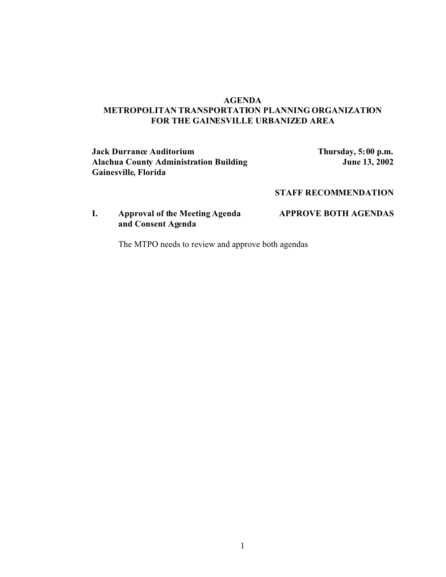#### **AGENDA METROPOLITAN TRANSPORTATION PLANNING ORGANIZATION FOR THE GAINESVILLE URBANIZED AREA**

#### **Jack Durrance Auditorium**<br>**Alachua County Administration Building Thursday, 5:00 p.m.**<br>**June 13, 2002 Alachua County Administration Building Gainesville, Florida**

### **STAFF RECOMMENDATION**

## **I. Approval of the Meeting Agenda APPROVE BOTH AGENDAS and Consent Agenda**

The MTPO needs to review and approve both agendas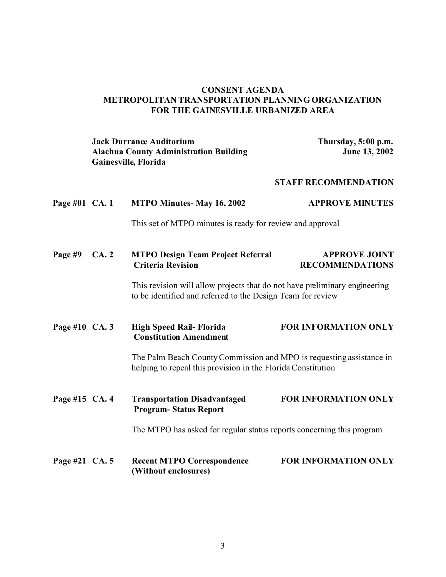#### **CONSENT AGENDA METROPOLITAN TRANSPORTATION PLANNING ORGANIZATION FOR THE GAINESVILLE URBANIZED AREA**

| <b>Jack Durrance Auditorium</b>               | Thursday, 5:00 p.m.  |
|-----------------------------------------------|----------------------|
| <b>Alachua County Administration Building</b> | <b>June 13, 2002</b> |
| Gainesville, Florida                          |                      |

#### **STAFF RECOMMENDATION**

# **Page #01 CA. 1 MTPO Minutes- May 16, 2002 APPROVE MINUTES**

This set of MTPO minutes is ready for review and approval

| Page #9 $CA.2$ | <b>MTPO Design Team Project Referral</b> | <b>APPROVE JOINT</b>   |
|----------------|------------------------------------------|------------------------|
|                | <b>Criteria Revision</b>                 | <b>RECOMMENDATIONS</b> |

This revision will allow projects that do not have preliminary engineering to be identified and referred to the Design Team for review

### **Page #10 CA. 3 High Speed Rail- Florida FOR INFORMATION ONLY Constitution Amendment**

The Palm Beach County Commission and MPO is requesting assistance in helping to repeal this provision in the Florida Constitution

**Page #15 CA. 4 Transportation Disadvantaged FOR INFORMATION ONLY Program- Status Report**

The MTPO has asked for regular status reports concerning this program

**Page #21 CA. 5 Recent MTPO Correspondence FOR INFORMATION ONLY (Without enclosures)**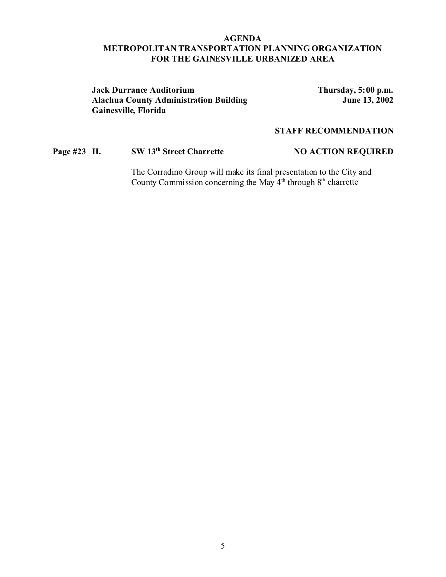#### **AGENDA METROPOLITAN TRANSPORTATION PLANNING ORGANIZATION FOR THE GAINESVILLE URBANIZED AREA**

#### **Jack Durrance Auditorium Thursday, 5:00 p.m. Alachua County Administration Building Gainesville, Florida**

#### **STAFF RECOMMENDATION**

# **Page #23 II. SW 13<sup>th</sup> Street Charrette NO ACTION REQUIRED**

The Corradino Group will make its final presentation to the City and County Commission concerning the May  $4<sup>th</sup>$  through  $8<sup>th</sup>$  charrette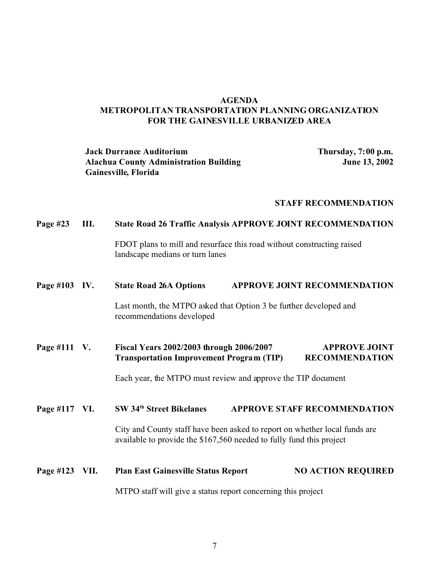#### **AGENDA METROPOLITAN TRANSPORTATION PLANNING ORGANIZATION FOR THE GAINESVILLE URBANIZED AREA**

#### **Jack Durrance Auditorium Thursday, 7:00 p.m. Alachua County Administration Building June 13, 2002 Gainesville, Florida**

#### **STAFF RECOMMENDATION**

#### **Page #23 III. State Road 26 Traffic Analysis APPROVE JOINT RECOMMENDATION**

FDOT plans to mill and resurface this road without constructing raised landscape medians or turn lanes

#### **Page #103 IV. State Road 26A Options APPROVE JOINT RECOMMENDATION**

Last month, the MTPO asked that Option 3 be further developed and recommendations developed

#### **Page #111 V. Fiscal Years 2002/2003 through 2006/2007 APPROVE JOINT Transportation Improvement Program (TIP) RECOMMENDATION**

Each year, the MTPO must review and approve the TIP document

#### **Page #117 VI. SW 34th Street Bikelanes APPROVE STAFF RECOMMENDATION**

City and County staff have been asked to report on whether local funds are available to provide the \$167,560 needed to fully fund this project

# **Page #123 VII.** Plan East Gainesville Status Report NO ACTION REQUIRED

MTPO staff will give a status report concerning this project